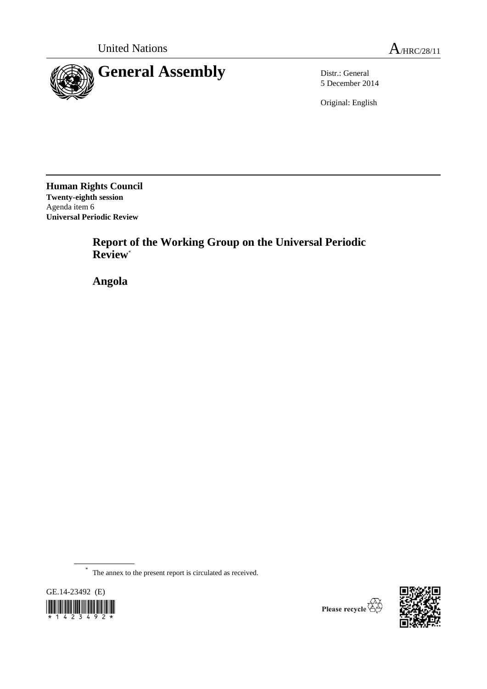

5 December 2014

Original: English

**Human Rights Council Twenty-eighth session** Agenda item 6 **Universal Periodic Review**

> **Report of the Working Group on the Universal Periodic Review**\*

**Angola**

\* The annex to the present report is circulated as received.



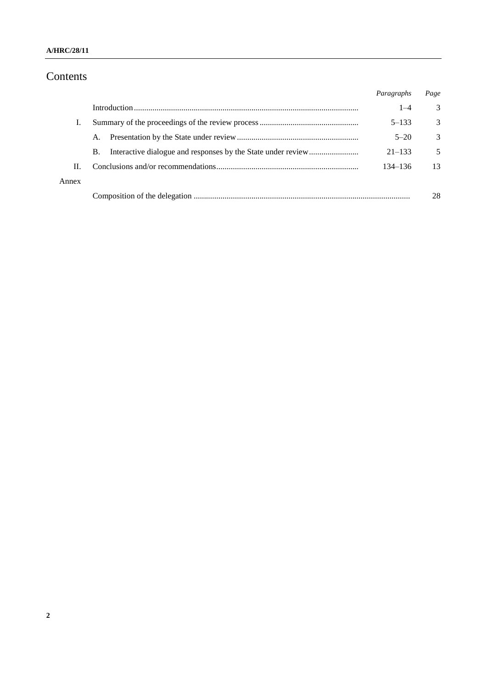## **A/HRC/28/11**

# Contents

|       |           | Paragraphs  | Page          |
|-------|-----------|-------------|---------------|
|       |           | $1 - 4$     | 3             |
|       |           | $5 - 133$   | 3             |
|       | A.        | $5 - 20$    | $\mathcal{R}$ |
|       | <b>B.</b> | $21 - 133$  | 5             |
| Н.    |           | $134 - 136$ | 13            |
| Annex |           |             |               |
|       |           |             | 28            |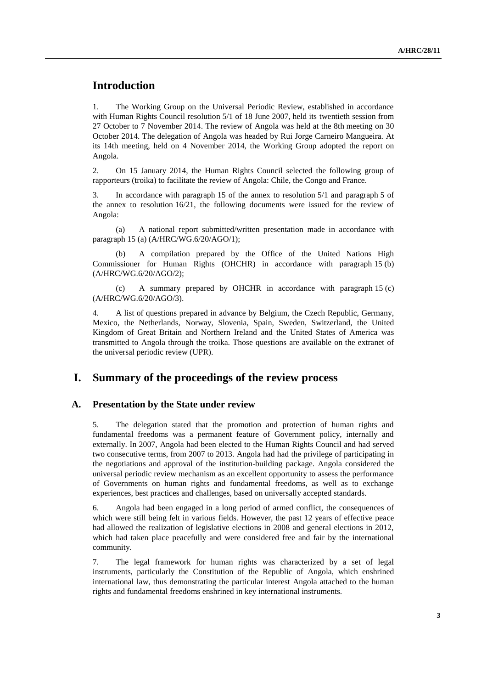# **Introduction**

1. The Working Group on the Universal Periodic Review, established in accordance with Human Rights Council resolution 5/1 of 18 June 2007, held its twentieth session from 27 October to 7 November 2014. The review of Angola was held at the 8th meeting on 30 October 2014. The delegation of Angola was headed by Rui Jorge Carneiro Mangueira. At its 14th meeting, held on 4 November 2014, the Working Group adopted the report on Angola.

2. On 15 January 2014, the Human Rights Council selected the following group of rapporteurs (troika) to facilitate the review of Angola: Chile, the Congo and France.

3. In accordance with paragraph 15 of the annex to resolution 5/1 and paragraph 5 of the annex to resolution 16/21, the following documents were issued for the review of Angola:

(a) A national report submitted/written presentation made in accordance with paragraph 15 (a) (A/HRC/WG.6/20/AGO/1);

(b) A compilation prepared by the Office of the United Nations High Commissioner for Human Rights (OHCHR) in accordance with paragraph 15 (b) (A/HRC/WG.6/20/AGO/2);

(c) A summary prepared by OHCHR in accordance with paragraph 15 (c) (A/HRC/WG.6/20/AGO/3).

4. A list of questions prepared in advance by Belgium, the Czech Republic, Germany, Mexico, the Netherlands, Norway, Slovenia, Spain, Sweden, Switzerland, the United Kingdom of Great Britain and Northern Ireland and the United States of America was transmitted to Angola through the troika. Those questions are available on the extranet of the universal periodic review (UPR).

# **I. Summary of the proceedings of the review process**

#### **A. Presentation by the State under review**

5. The delegation stated that the promotion and protection of human rights and fundamental freedoms was a permanent feature of Government policy, internally and externally. In 2007, Angola had been elected to the Human Rights Council and had served two consecutive terms, from 2007 to 2013. Angola had had the privilege of participating in the negotiations and approval of the institution-building package. Angola considered the universal periodic review mechanism as an excellent opportunity to assess the performance of Governments on human rights and fundamental freedoms, as well as to exchange experiences, best practices and challenges, based on universally accepted standards.

6. Angola had been engaged in a long period of armed conflict, the consequences of which were still being felt in various fields. However, the past 12 years of effective peace had allowed the realization of legislative elections in 2008 and general elections in 2012, which had taken place peacefully and were considered free and fair by the international community.

7. The legal framework for human rights was characterized by a set of legal instruments, particularly the Constitution of the Republic of Angola, which enshrined international law, thus demonstrating the particular interest Angola attached to the human rights and fundamental freedoms enshrined in key international instruments.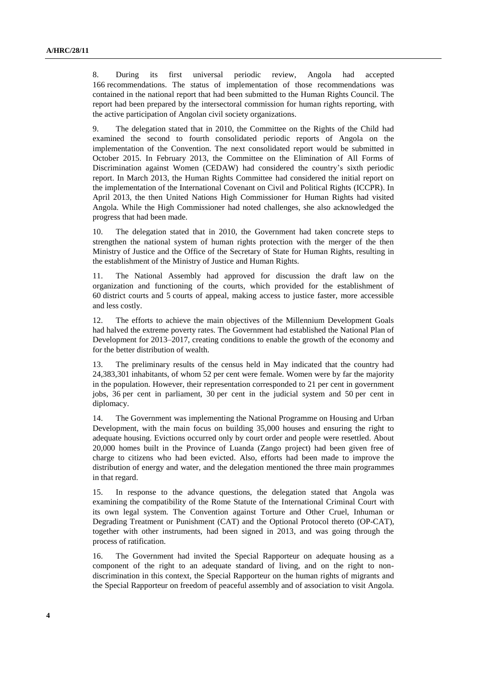8. During its first universal periodic review, Angola had accepted 166 recommendations. The status of implementation of those recommendations was contained in the national report that had been submitted to the Human Rights Council. The report had been prepared by the intersectoral commission for human rights reporting, with the active participation of Angolan civil society organizations.

9. The delegation stated that in 2010, the Committee on the Rights of the Child had examined the second to fourth consolidated periodic reports of Angola on the implementation of the Convention. The next consolidated report would be submitted in October 2015. In February 2013, the Committee on the Elimination of All Forms of Discrimination against Women (CEDAW) had considered the country's sixth periodic report. In March 2013, the Human Rights Committee had considered the initial report on the implementation of the International Covenant on Civil and Political Rights (ICCPR). In April 2013, the then United Nations High Commissioner for Human Rights had visited Angola. While the High Commissioner had noted challenges, she also acknowledged the progress that had been made.

10. The delegation stated that in 2010, the Government had taken concrete steps to strengthen the national system of human rights protection with the merger of the then Ministry of Justice and the Office of the Secretary of State for Human Rights, resulting in the establishment of the Ministry of Justice and Human Rights.

11. The National Assembly had approved for discussion the draft law on the organization and functioning of the courts, which provided for the establishment of 60 district courts and 5 courts of appeal, making access to justice faster, more accessible and less costly.

12. The efforts to achieve the main objectives of the Millennium Development Goals had halved the extreme poverty rates. The Government had established the National Plan of Development for 2013–2017, creating conditions to enable the growth of the economy and for the better distribution of wealth.

13. The preliminary results of the census held in May indicated that the country had 24,383,301 inhabitants, of whom 52 per cent were female. Women were by far the majority in the population. However, their representation corresponded to 21 per cent in government jobs, 36 per cent in parliament, 30 per cent in the judicial system and 50 per cent in diplomacy.

14. The Government was implementing the National Programme on Housing and Urban Development, with the main focus on building 35,000 houses and ensuring the right to adequate housing. Evictions occurred only by court order and people were resettled. About 20,000 homes built in the Province of Luanda (Zango project) had been given free of charge to citizens who had been evicted. Also, efforts had been made to improve the distribution of energy and water, and the delegation mentioned the three main programmes in that regard.

15. In response to the advance questions, the delegation stated that Angola was examining the compatibility of the Rome Statute of the International Criminal Court with its own legal system. The Convention against Torture and Other Cruel, Inhuman or Degrading Treatment or Punishment (CAT) and the Optional Protocol thereto (OP-CAT), together with other instruments, had been signed in 2013, and was going through the process of ratification.

16. The Government had invited the Special Rapporteur on adequate housing as a component of the right to an adequate standard of living, and on the right to nondiscrimination in this context, the Special Rapporteur on the human rights of migrants and the Special Rapporteur on freedom of peaceful assembly and of association to visit Angola.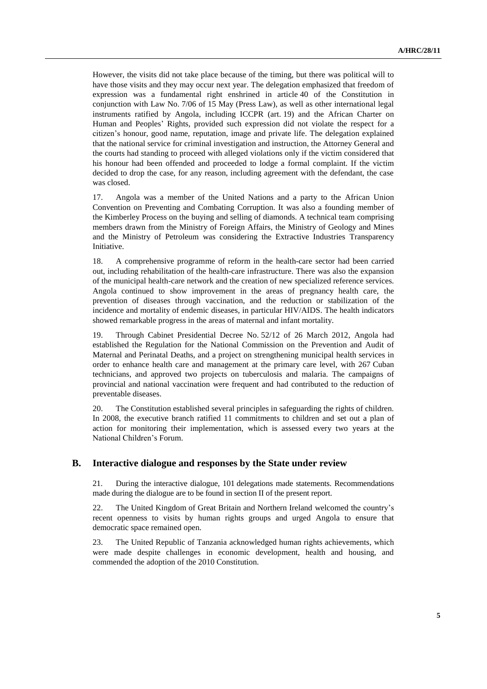However, the visits did not take place because of the timing, but there was political will to have those visits and they may occur next year. The delegation emphasized that freedom of expression was a fundamental right enshrined in article 40 of the Constitution in conjunction with Law No. 7/06 of 15 May (Press Law), as well as other international legal instruments ratified by Angola, including ICCPR (art. 19) and the African Charter on Human and Peoples' Rights, provided such expression did not violate the respect for a citizen's honour, good name, reputation, image and private life. The delegation explained that the national service for criminal investigation and instruction, the Attorney General and the courts had standing to proceed with alleged violations only if the victim considered that his honour had been offended and proceeded to lodge a formal complaint. If the victim decided to drop the case, for any reason, including agreement with the defendant, the case was closed.

17. Angola was a member of the United Nations and a party to the African Union Convention on Preventing and Combating Corruption. It was also a founding member of the Kimberley Process on the buying and selling of diamonds. A technical team comprising members drawn from the Ministry of Foreign Affairs, the Ministry of Geology and Mines and the Ministry of Petroleum was considering the Extractive Industries Transparency Initiative.

18. A comprehensive programme of reform in the health-care sector had been carried out, including rehabilitation of the health-care infrastructure. There was also the expansion of the municipal health-care network and the creation of new specialized reference services. Angola continued to show improvement in the areas of pregnancy health care, the prevention of diseases through vaccination, and the reduction or stabilization of the incidence and mortality of endemic diseases, in particular HIV/AIDS. The health indicators showed remarkable progress in the areas of maternal and infant mortality.

19. Through Cabinet Presidential Decree No. 52/12 of 26 March 2012, Angola had established the Regulation for the National Commission on the Prevention and Audit of Maternal and Perinatal Deaths, and a project on strengthening municipal health services in order to enhance health care and management at the primary care level, with 267 Cuban technicians, and approved two projects on tuberculosis and malaria. The campaigns of provincial and national vaccination were frequent and had contributed to the reduction of preventable diseases.

20. The Constitution established several principles in safeguarding the rights of children. In 2008, the executive branch ratified 11 commitments to children and set out a plan of action for monitoring their implementation, which is assessed every two years at the National Children's Forum.

### **B. Interactive dialogue and responses by the State under review**

21. During the interactive dialogue, 101 delegations made statements. Recommendations made during the dialogue are to be found in section II of the present report.

22. The United Kingdom of Great Britain and Northern Ireland welcomed the country's recent openness to visits by human rights groups and urged Angola to ensure that democratic space remained open.

23. The United Republic of Tanzania acknowledged human rights achievements, which were made despite challenges in economic development, health and housing, and commended the adoption of the 2010 Constitution.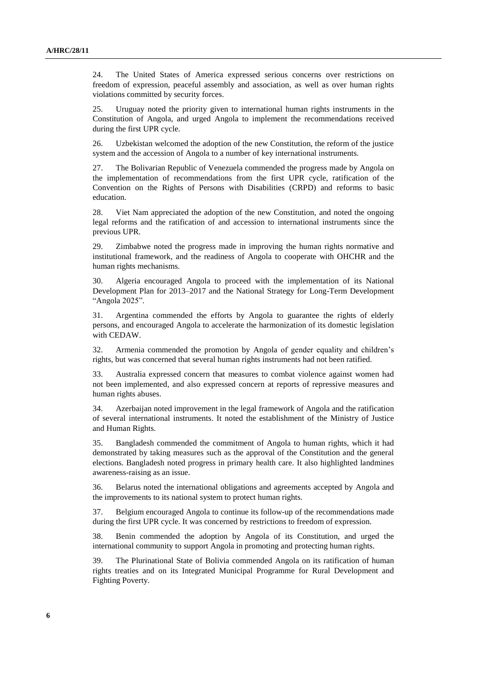24. The United States of America expressed serious concerns over restrictions on freedom of expression, peaceful assembly and association, as well as over human rights violations committed by security forces.

25. Uruguay noted the priority given to international human rights instruments in the Constitution of Angola, and urged Angola to implement the recommendations received during the first UPR cycle.

26. Uzbekistan welcomed the adoption of the new Constitution, the reform of the justice system and the accession of Angola to a number of key international instruments.

27. The Bolivarian Republic of Venezuela commended the progress made by Angola on the implementation of recommendations from the first UPR cycle, ratification of the Convention on the Rights of Persons with Disabilities (CRPD) and reforms to basic education.

28. Viet Nam appreciated the adoption of the new Constitution, and noted the ongoing legal reforms and the ratification of and accession to international instruments since the previous UPR.

29. Zimbabwe noted the progress made in improving the human rights normative and institutional framework, and the readiness of Angola to cooperate with OHCHR and the human rights mechanisms.

30. Algeria encouraged Angola to proceed with the implementation of its National Development Plan for 2013–2017 and the National Strategy for Long-Term Development "Angola 2025".

31. Argentina commended the efforts by Angola to guarantee the rights of elderly persons, and encouraged Angola to accelerate the harmonization of its domestic legislation with CEDAW.

32. Armenia commended the promotion by Angola of gender equality and children's rights, but was concerned that several human rights instruments had not been ratified.

33. Australia expressed concern that measures to combat violence against women had not been implemented, and also expressed concern at reports of repressive measures and human rights abuses.

34. Azerbaijan noted improvement in the legal framework of Angola and the ratification of several international instruments. It noted the establishment of the Ministry of Justice and Human Rights.

35. Bangladesh commended the commitment of Angola to human rights, which it had demonstrated by taking measures such as the approval of the Constitution and the general elections. Bangladesh noted progress in primary health care. It also highlighted landmines awareness-raising as an issue.

36. Belarus noted the international obligations and agreements accepted by Angola and the improvements to its national system to protect human rights.

37. Belgium encouraged Angola to continue its follow-up of the recommendations made during the first UPR cycle. It was concerned by restrictions to freedom of expression.

38. Benin commended the adoption by Angola of its Constitution, and urged the international community to support Angola in promoting and protecting human rights.

39. The Plurinational State of Bolivia commended Angola on its ratification of human rights treaties and on its Integrated Municipal Programme for Rural Development and Fighting Poverty.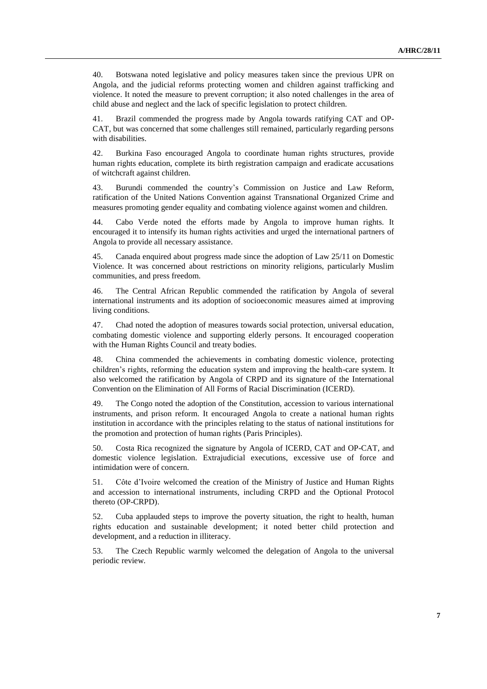40. Botswana noted legislative and policy measures taken since the previous UPR on Angola, and the judicial reforms protecting women and children against trafficking and violence. It noted the measure to prevent corruption; it also noted challenges in the area of child abuse and neglect and the lack of specific legislation to protect children.

41. Brazil commended the progress made by Angola towards ratifying CAT and OP-CAT, but was concerned that some challenges still remained, particularly regarding persons with disabilities.

42. Burkina Faso encouraged Angola to coordinate human rights structures, provide human rights education, complete its birth registration campaign and eradicate accusations of witchcraft against children.

43. Burundi commended the country's Commission on Justice and Law Reform, ratification of the United Nations Convention against Transnational Organized Crime and measures promoting gender equality and combating violence against women and children.

44. Cabo Verde noted the efforts made by Angola to improve human rights. It encouraged it to intensify its human rights activities and urged the international partners of Angola to provide all necessary assistance.

45. Canada enquired about progress made since the adoption of Law 25/11 on Domestic Violence. It was concerned about restrictions on minority religions, particularly Muslim communities, and press freedom.

46. The Central African Republic commended the ratification by Angola of several international instruments and its adoption of socioeconomic measures aimed at improving living conditions.

47. Chad noted the adoption of measures towards social protection, universal education, combating domestic violence and supporting elderly persons. It encouraged cooperation with the Human Rights Council and treaty bodies.

48. China commended the achievements in combating domestic violence, protecting children's rights, reforming the education system and improving the health-care system. It also welcomed the ratification by Angola of CRPD and its signature of the International Convention on the Elimination of All Forms of Racial Discrimination (ICERD).

49. The Congo noted the adoption of the Constitution, accession to various international instruments, and prison reform. It encouraged Angola to create a national human rights institution in accordance with the principles relating to the status of national institutions for the promotion and protection of human rights (Paris Principles).

50. Costa Rica recognized the signature by Angola of ICERD, CAT and OP-CAT, and domestic violence legislation. Extrajudicial executions, excessive use of force and intimidation were of concern.

51. Côte d'Ivoire welcomed the creation of the Ministry of Justice and Human Rights and accession to international instruments, including CRPD and the Optional Protocol thereto (OP-CRPD).

52. Cuba applauded steps to improve the poverty situation, the right to health, human rights education and sustainable development; it noted better child protection and development, and a reduction in illiteracy.

53. The Czech Republic warmly welcomed the delegation of Angola to the universal periodic review.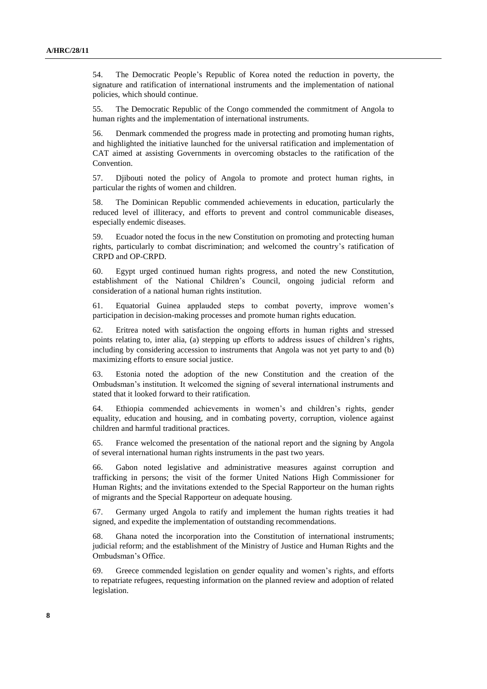54. The Democratic People's Republic of Korea noted the reduction in poverty, the signature and ratification of international instruments and the implementation of national policies, which should continue.

55. The Democratic Republic of the Congo commended the commitment of Angola to human rights and the implementation of international instruments.

56. Denmark commended the progress made in protecting and promoting human rights, and highlighted the initiative launched for the universal ratification and implementation of CAT aimed at assisting Governments in overcoming obstacles to the ratification of the Convention.

57. Djibouti noted the policy of Angola to promote and protect human rights, in particular the rights of women and children.

58. The Dominican Republic commended achievements in education, particularly the reduced level of illiteracy, and efforts to prevent and control communicable diseases, especially endemic diseases.

59. Ecuador noted the focus in the new Constitution on promoting and protecting human rights, particularly to combat discrimination; and welcomed the country's ratification of CRPD and OP-CRPD.

60. Egypt urged continued human rights progress, and noted the new Constitution, establishment of the National Children's Council, ongoing judicial reform and consideration of a national human rights institution.

61. Equatorial Guinea applauded steps to combat poverty, improve women's participation in decision-making processes and promote human rights education.

62. Eritrea noted with satisfaction the ongoing efforts in human rights and stressed points relating to, inter alia, (a) stepping up efforts to address issues of children's rights, including by considering accession to instruments that Angola was not yet party to and (b) maximizing efforts to ensure social justice.

63. Estonia noted the adoption of the new Constitution and the creation of the Ombudsman's institution. It welcomed the signing of several international instruments and stated that it looked forward to their ratification.

64. Ethiopia commended achievements in women's and children's rights, gender equality, education and housing, and in combating poverty, corruption, violence against children and harmful traditional practices.

65. France welcomed the presentation of the national report and the signing by Angola of several international human rights instruments in the past two years.

66. Gabon noted legislative and administrative measures against corruption and trafficking in persons; the visit of the former United Nations High Commissioner for Human Rights; and the invitations extended to the Special Rapporteur on the human rights of migrants and the Special Rapporteur on adequate housing.

67. Germany urged Angola to ratify and implement the human rights treaties it had signed, and expedite the implementation of outstanding recommendations.

68. Ghana noted the incorporation into the Constitution of international instruments; judicial reform; and the establishment of the Ministry of Justice and Human Rights and the Ombudsman's Office.

69. Greece commended legislation on gender equality and women's rights, and efforts to repatriate refugees, requesting information on the planned review and adoption of related legislation.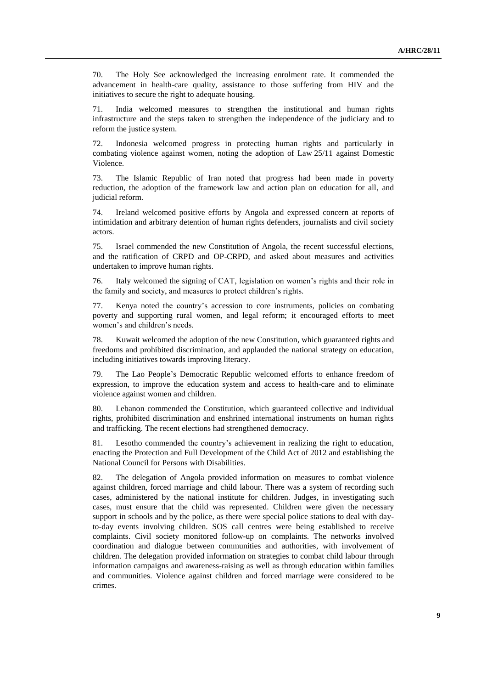70. The Holy See acknowledged the increasing enrolment rate. It commended the advancement in health-care quality, assistance to those suffering from HIV and the initiatives to secure the right to adequate housing.

71. India welcomed measures to strengthen the institutional and human rights infrastructure and the steps taken to strengthen the independence of the judiciary and to reform the justice system.

72. Indonesia welcomed progress in protecting human rights and particularly in combating violence against women, noting the adoption of Law 25/11 against Domestic Violence.

73. The Islamic Republic of Iran noted that progress had been made in poverty reduction, the adoption of the framework law and action plan on education for all, and judicial reform.

74. Ireland welcomed positive efforts by Angola and expressed concern at reports of intimidation and arbitrary detention of human rights defenders, journalists and civil society actors.

75. Israel commended the new Constitution of Angola, the recent successful elections, and the ratification of CRPD and OP-CRPD, and asked about measures and activities undertaken to improve human rights.

76. Italy welcomed the signing of CAT, legislation on women's rights and their role in the family and society, and measures to protect children's rights.

77. Kenya noted the country's accession to core instruments, policies on combating poverty and supporting rural women, and legal reform; it encouraged efforts to meet women's and children's needs.

78. Kuwait welcomed the adoption of the new Constitution, which guaranteed rights and freedoms and prohibited discrimination, and applauded the national strategy on education, including initiatives towards improving literacy.

79. The Lao People's Democratic Republic welcomed efforts to enhance freedom of expression, to improve the education system and access to health-care and to eliminate violence against women and children.

80. Lebanon commended the Constitution, which guaranteed collective and individual rights, prohibited discrimination and enshrined international instruments on human rights and trafficking. The recent elections had strengthened democracy.

81. Lesotho commended the country's achievement in realizing the right to education, enacting the Protection and Full Development of the Child Act of 2012 and establishing the National Council for Persons with Disabilities.

82. The delegation of Angola provided information on measures to combat violence against children, forced marriage and child labour. There was a system of recording such cases, administered by the national institute for children. Judges, in investigating such cases, must ensure that the child was represented. Children were given the necessary support in schools and by the police, as there were special police stations to deal with dayto-day events involving children. SOS call centres were being established to receive complaints. Civil society monitored follow-up on complaints. The networks involved coordination and dialogue between communities and authorities, with involvement of children. The delegation provided information on strategies to combat child labour through information campaigns and awareness-raising as well as through education within families and communities. Violence against children and forced marriage were considered to be crimes.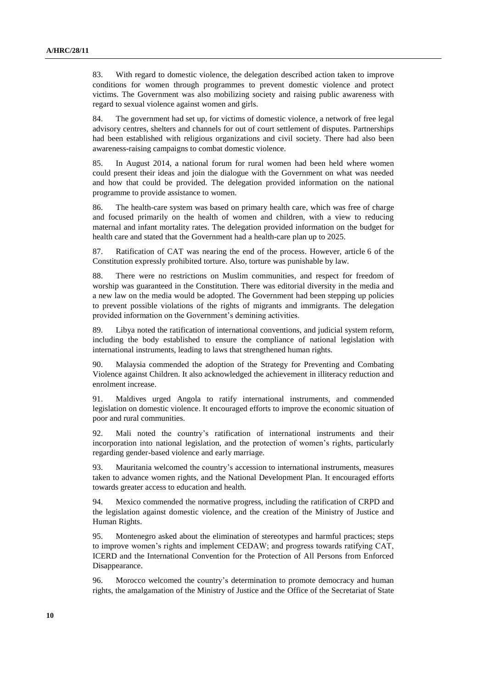83. With regard to domestic violence, the delegation described action taken to improve conditions for women through programmes to prevent domestic violence and protect victims. The Government was also mobilizing society and raising public awareness with regard to sexual violence against women and girls.

84. The government had set up, for victims of domestic violence, a network of free legal advisory centres, shelters and channels for out of court settlement of disputes. Partnerships had been established with religious organizations and civil society. There had also been awareness-raising campaigns to combat domestic violence.

85. In August 2014, a national forum for rural women had been held where women could present their ideas and join the dialogue with the Government on what was needed and how that could be provided. The delegation provided information on the national programme to provide assistance to women.

86. The health-care system was based on primary health care, which was free of charge and focused primarily on the health of women and children, with a view to reducing maternal and infant mortality rates. The delegation provided information on the budget for health care and stated that the Government had a health-care plan up to 2025.

87. Ratification of CAT was nearing the end of the process. However, article 6 of the Constitution expressly prohibited torture. Also, torture was punishable by law.

88. There were no restrictions on Muslim communities, and respect for freedom of worship was guaranteed in the Constitution. There was editorial diversity in the media and a new law on the media would be adopted. The Government had been stepping up policies to prevent possible violations of the rights of migrants and immigrants. The delegation provided information on the Government's demining activities.

89. Libya noted the ratification of international conventions, and judicial system reform, including the body established to ensure the compliance of national legislation with international instruments, leading to laws that strengthened human rights.

90. Malaysia commended the adoption of the Strategy for Preventing and Combating Violence against Children. It also acknowledged the achievement in illiteracy reduction and enrolment increase.

91. Maldives urged Angola to ratify international instruments, and commended legislation on domestic violence. It encouraged efforts to improve the economic situation of poor and rural communities.

92. Mali noted the country's ratification of international instruments and their incorporation into national legislation, and the protection of women's rights, particularly regarding gender-based violence and early marriage.

93. Mauritania welcomed the country's accession to international instruments, measures taken to advance women rights, and the National Development Plan. It encouraged efforts towards greater access to education and health.

94. Mexico commended the normative progress, including the ratification of CRPD and the legislation against domestic violence, and the creation of the Ministry of Justice and Human Rights.

95. Montenegro asked about the elimination of stereotypes and harmful practices; steps to improve women's rights and implement CEDAW; and progress towards ratifying CAT, ICERD and the International Convention for the Protection of All Persons from Enforced Disappearance.

96. Morocco welcomed the country's determination to promote democracy and human rights, the amalgamation of the Ministry of Justice and the Office of the Secretariat of State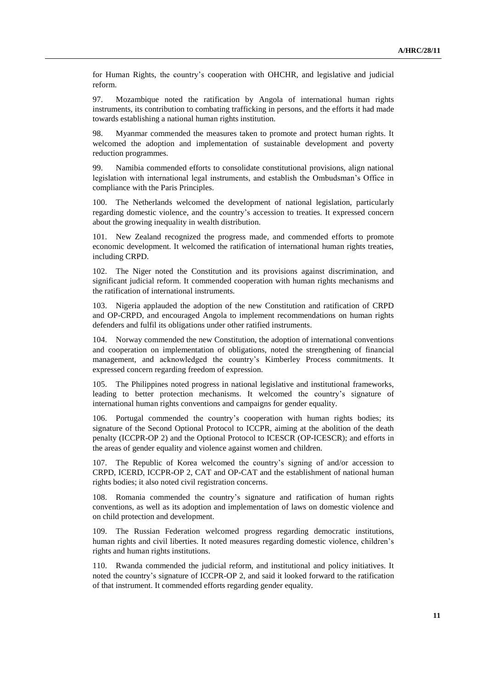for Human Rights, the country's cooperation with OHCHR, and legislative and judicial reform.

97. Mozambique noted the ratification by Angola of international human rights instruments, its contribution to combating trafficking in persons, and the efforts it had made towards establishing a national human rights institution.

98. Myanmar commended the measures taken to promote and protect human rights. It welcomed the adoption and implementation of sustainable development and poverty reduction programmes.

99. Namibia commended efforts to consolidate constitutional provisions, align national legislation with international legal instruments, and establish the Ombudsman's Office in compliance with the Paris Principles.

100. The Netherlands welcomed the development of national legislation, particularly regarding domestic violence, and the country's accession to treaties. It expressed concern about the growing inequality in wealth distribution.

101. New Zealand recognized the progress made, and commended efforts to promote economic development. It welcomed the ratification of international human rights treaties, including CRPD.

102. The Niger noted the Constitution and its provisions against discrimination, and significant judicial reform. It commended cooperation with human rights mechanisms and the ratification of international instruments.

103. Nigeria applauded the adoption of the new Constitution and ratification of CRPD and OP-CRPD, and encouraged Angola to implement recommendations on human rights defenders and fulfil its obligations under other ratified instruments.

104. Norway commended the new Constitution, the adoption of international conventions and cooperation on implementation of obligations, noted the strengthening of financial management, and acknowledged the country's Kimberley Process commitments. It expressed concern regarding freedom of expression.

105. The Philippines noted progress in national legislative and institutional frameworks, leading to better protection mechanisms. It welcomed the country's signature of international human rights conventions and campaigns for gender equality.

106. Portugal commended the country's cooperation with human rights bodies; its signature of the Second Optional Protocol to ICCPR, aiming at the abolition of the death penalty (ICCPR-OP 2) and the Optional Protocol to ICESCR (OP-ICESCR); and efforts in the areas of gender equality and violence against women and children.

107. The Republic of Korea welcomed the country's signing of and/or accession to CRPD, ICERD, ICCPR-OP 2, CAT and OP-CAT and the establishment of national human rights bodies; it also noted civil registration concerns.

108. Romania commended the country's signature and ratification of human rights conventions, as well as its adoption and implementation of laws on domestic violence and on child protection and development.

109. The Russian Federation welcomed progress regarding democratic institutions, human rights and civil liberties. It noted measures regarding domestic violence, children's rights and human rights institutions.

110. Rwanda commended the judicial reform, and institutional and policy initiatives. It noted the country's signature of ICCPR-OP 2, and said it looked forward to the ratification of that instrument. It commended efforts regarding gender equality.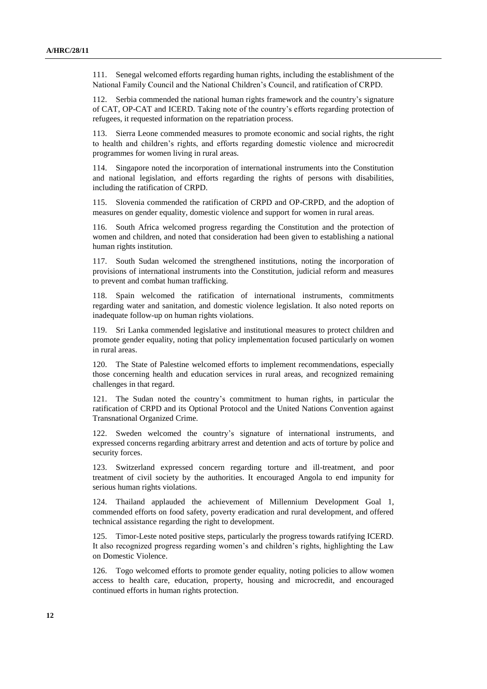111. Senegal welcomed efforts regarding human rights, including the establishment of the National Family Council and the National Children's Council, and ratification of CRPD.

112. Serbia commended the national human rights framework and the country's signature of CAT, OP-CAT and ICERD. Taking note of the country's efforts regarding protection of refugees, it requested information on the repatriation process.

113. Sierra Leone commended measures to promote economic and social rights, the right to health and children's rights, and efforts regarding domestic violence and microcredit programmes for women living in rural areas.

114. Singapore noted the incorporation of international instruments into the Constitution and national legislation, and efforts regarding the rights of persons with disabilities, including the ratification of CRPD.

115. Slovenia commended the ratification of CRPD and OP-CRPD, and the adoption of measures on gender equality, domestic violence and support for women in rural areas.

116. South Africa welcomed progress regarding the Constitution and the protection of women and children, and noted that consideration had been given to establishing a national human rights institution.

117. South Sudan welcomed the strengthened institutions, noting the incorporation of provisions of international instruments into the Constitution, judicial reform and measures to prevent and combat human trafficking.

118. Spain welcomed the ratification of international instruments, commitments regarding water and sanitation, and domestic violence legislation. It also noted reports on inadequate follow-up on human rights violations.

119. Sri Lanka commended legislative and institutional measures to protect children and promote gender equality, noting that policy implementation focused particularly on women in rural areas.

120. The State of Palestine welcomed efforts to implement recommendations, especially those concerning health and education services in rural areas, and recognized remaining challenges in that regard.

121. The Sudan noted the country's commitment to human rights, in particular the ratification of CRPD and its Optional Protocol and the United Nations Convention against Transnational Organized Crime.

122. Sweden welcomed the country's signature of international instruments, and expressed concerns regarding arbitrary arrest and detention and acts of torture by police and security forces.

123. Switzerland expressed concern regarding torture and ill-treatment, and poor treatment of civil society by the authorities. It encouraged Angola to end impunity for serious human rights violations.

124. Thailand applauded the achievement of Millennium Development Goal 1, commended efforts on food safety, poverty eradication and rural development, and offered technical assistance regarding the right to development.

125. Timor-Leste noted positive steps, particularly the progress towards ratifying ICERD. It also recognized progress regarding women's and children's rights, highlighting the Law on Domestic Violence.

126. Togo welcomed efforts to promote gender equality, noting policies to allow women access to health care, education, property, housing and microcredit, and encouraged continued efforts in human rights protection.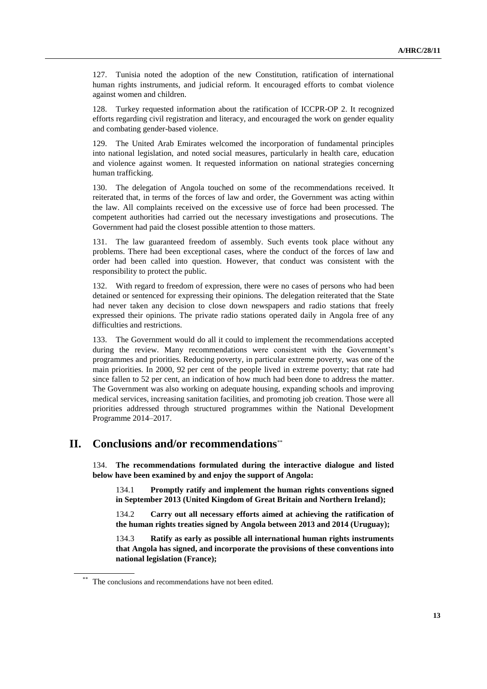127. Tunisia noted the adoption of the new Constitution, ratification of international human rights instruments, and judicial reform. It encouraged efforts to combat violence against women and children.

128. Turkey requested information about the ratification of ICCPR-OP 2. It recognized efforts regarding civil registration and literacy, and encouraged the work on gender equality and combating gender-based violence.

129. The United Arab Emirates welcomed the incorporation of fundamental principles into national legislation, and noted social measures, particularly in health care, education and violence against women. It requested information on national strategies concerning human trafficking.

130. The delegation of Angola touched on some of the recommendations received. It reiterated that, in terms of the forces of law and order, the Government was acting within the law. All complaints received on the excessive use of force had been processed. The competent authorities had carried out the necessary investigations and prosecutions. The Government had paid the closest possible attention to those matters.

131. The law guaranteed freedom of assembly. Such events took place without any problems. There had been exceptional cases, where the conduct of the forces of law and order had been called into question. However, that conduct was consistent with the responsibility to protect the public.

132. With regard to freedom of expression, there were no cases of persons who had been detained or sentenced for expressing their opinions. The delegation reiterated that the State had never taken any decision to close down newspapers and radio stations that freely expressed their opinions. The private radio stations operated daily in Angola free of any difficulties and restrictions.

133. The Government would do all it could to implement the recommendations accepted during the review. Many recommendations were consistent with the Government's programmes and priorities. Reducing poverty, in particular extreme poverty, was one of the main priorities. In 2000, 92 per cent of the people lived in extreme poverty; that rate had since fallen to 52 per cent, an indication of how much had been done to address the matter. The Government was also working on adequate housing, expanding schools and improving medical services, increasing sanitation facilities, and promoting job creation. Those were all priorities addressed through structured programmes within the National Development Programme 2014–2017.

# **II. Conclusions and/or recommendations**\*\*

134. **The recommendations formulated during the interactive dialogue and listed below have been examined by and enjoy the support of Angola:**

134.1 **Promptly ratify and implement the human rights conventions signed in September 2013 (United Kingdom of Great Britain and Northern Ireland);**

134.2 **Carry out all necessary efforts aimed at achieving the ratification of the human rights treaties signed by Angola between 2013 and 2014 (Uruguay);** 

134.3 **Ratify as early as possible all international human rights instruments that Angola has signed, and incorporate the provisions of these conventions into national legislation (France);** 

The conclusions and recommendations have not been edited.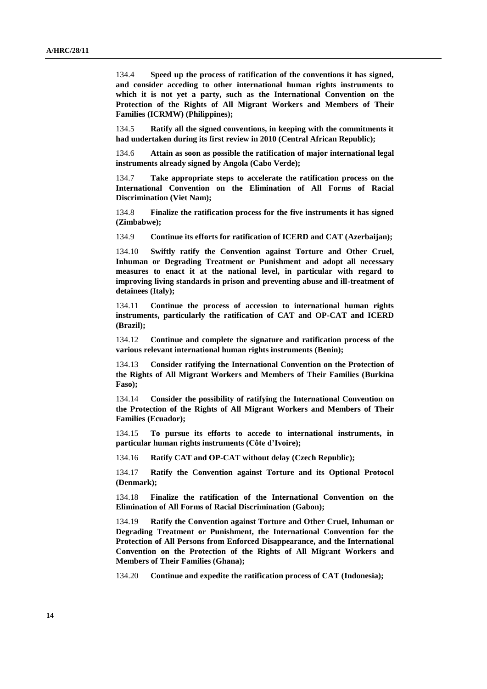134.4 **Speed up the process of ratification of the conventions it has signed, and consider acceding to other international human rights instruments to which it is not yet a party, such as the International Convention on the Protection of the Rights of All Migrant Workers and Members of Their Families (ICRMW) (Philippines);**

134.5 **Ratify all the signed conventions, in keeping with the commitments it had undertaken during its first review in 2010 (Central African Republic);** 

134.6 **Attain as soon as possible the ratification of major international legal instruments already signed by Angola (Cabo Verde);** 

134.7 **Take appropriate steps to accelerate the ratification process on the International Convention on the Elimination of All Forms of Racial Discrimination (Viet Nam);**

134.8 **Finalize the ratification process for the five instruments it has signed (Zimbabwe);** 

134.9 **Continue its efforts for ratification of ICERD and CAT (Azerbaijan);** 

134.10 **Swiftly ratify the Convention against Torture and Other Cruel, Inhuman or Degrading Treatment or Punishment and adopt all necessary measures to enact it at the national level, in particular with regard to improving living standards in prison and preventing abuse and ill-treatment of detainees (Italy);** 

134.11 **Continue the process of accession to international human rights instruments, particularly the ratification of CAT and OP-CAT and ICERD (Brazil);**

134.12 **Continue and complete the signature and ratification process of the various relevant international human rights instruments (Benin);** 

134.13 **Consider ratifying the International Convention on the Protection of the Rights of All Migrant Workers and Members of Their Families (Burkina Faso);** 

134.14 **Consider the possibility of ratifying the International Convention on the Protection of the Rights of All Migrant Workers and Members of Their Families (Ecuador);** 

134.15 **To pursue its efforts to accede to international instruments, in particular human rights instruments (Côte d'Ivoire);**

134.16 **Ratify CAT and OP-CAT without delay (Czech Republic);** 

134.17 **Ratify the Convention against Torture and its Optional Protocol (Denmark);** 

134.18 **Finalize the ratification of the International Convention on the Elimination of All Forms of Racial Discrimination (Gabon);** 

134.19 **Ratify the Convention against Torture and Other Cruel, Inhuman or Degrading Treatment or Punishment, the International Convention for the Protection of All Persons from Enforced Disappearance, and the International Convention on the Protection of the Rights of All Migrant Workers and Members of Their Families (Ghana);**

134.20 **Continue and expedite the ratification process of CAT (Indonesia);**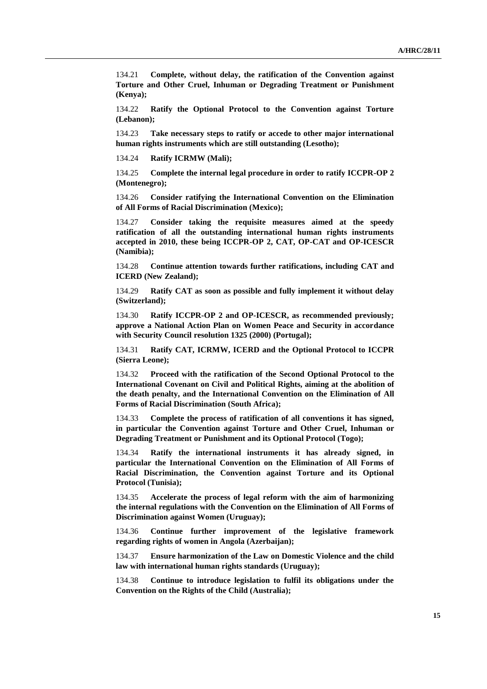134.21 **Complete, without delay, the ratification of the Convention against Torture and Other Cruel, Inhuman or Degrading Treatment or Punishment (Kenya);**

134.22 **Ratify the Optional Protocol to the Convention against Torture (Lebanon);** 

134.23 **Take necessary steps to ratify or accede to other major international human rights instruments which are still outstanding (Lesotho);**

134.24 **Ratify ICRMW (Mali);** 

134.25 **Complete the internal legal procedure in order to ratify ICCPR-OP 2 (Montenegro);**

134.26 **Consider ratifying the International Convention on the Elimination of All Forms of Racial Discrimination (Mexico);**

134.27 **Consider taking the requisite measures aimed at the speedy ratification of all the outstanding international human rights instruments accepted in 2010, these being ICCPR-OP 2, CAT, OP-CAT and OP-ICESCR (Namibia);**

134.28 **Continue attention towards further ratifications, including CAT and ICERD (New Zealand);**

134.29 **Ratify CAT as soon as possible and fully implement it without delay (Switzerland);**

134.30 **Ratify ICCPR-OP 2 and OP-ICESCR, as recommended previously; approve a National Action Plan on Women Peace and Security in accordance with Security Council resolution 1325 (2000) (Portugal);**

134.31 **Ratify CAT, ICRMW, ICERD and the Optional Protocol to ICCPR (Sierra Leone);**

134.32 **Proceed with the ratification of the Second Optional Protocol to the International Covenant on Civil and Political Rights, aiming at the abolition of the death penalty, and the International Convention on the Elimination of All Forms of Racial Discrimination (South Africa);**

134.33 **Complete the process of ratification of all conventions it has signed, in particular the Convention against Torture and Other Cruel, Inhuman or Degrading Treatment or Punishment and its Optional Protocol (Togo);**

134.34 **Ratify the international instruments it has already signed, in particular the International Convention on the Elimination of All Forms of Racial Discrimination, the Convention against Torture and its Optional Protocol (Tunisia);** 

134.35 **Accelerate the process of legal reform with the aim of harmonizing the internal regulations with the Convention on the Elimination of All Forms of Discrimination against Women (Uruguay);** 

134.36 **Continue further improvement of the legislative framework regarding rights of women in Angola (Azerbaijan);**

134.37 **Ensure harmonization of the Law on Domestic Violence and the child law with international human rights standards (Uruguay);**

134.38 **Continue to introduce legislation to fulfil its obligations under the Convention on the Rights of the Child (Australia);**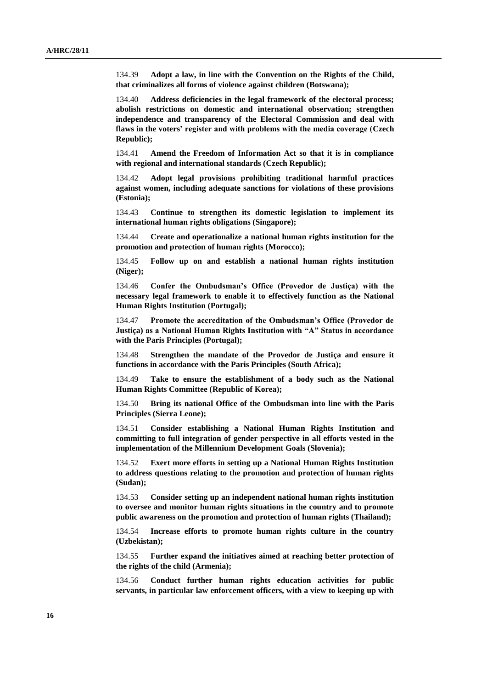134.39 **Adopt a law, in line with the Convention on the Rights of the Child, that criminalizes all forms of violence against children (Botswana);**

134.40 **Address deficiencies in the legal framework of the electoral process; abolish restrictions on domestic and international observation; strengthen independence and transparency of the Electoral Commission and deal with flaws in the voters' register and with problems with the media coverage (Czech Republic);**

134.41 **Amend the Freedom of Information Act so that it is in compliance with regional and international standards (Czech Republic);**

134.42 **Adopt legal provisions prohibiting traditional harmful practices against women, including adequate sanctions for violations of these provisions (Estonia);** 

134.43 **Continue to strengthen its domestic legislation to implement its international human rights obligations (Singapore);**

134.44 **Create and operationalize a national human rights institution for the promotion and protection of human rights (Morocco);**

134.45 **Follow up on and establish a national human rights institution (Niger);**

134.46 **Confer the Ombudsman's Office (Provedor de Justiça) with the necessary legal framework to enable it to effectively function as the National Human Rights Institution (Portugal);**

134.47 **Promote the accreditation of the Ombudsman's Office (Provedor de Justiça) as a National Human Rights Institution with "A" Status in accordance with the Paris Principles (Portugal);**

134.48 **Strengthen the mandate of the Provedor de Justiça and ensure it functions in accordance with the Paris Principles (South Africa);**

134.49 **Take to ensure the establishment of a body such as the National Human Rights Committee (Republic of Korea);**

134.50 **Bring its national Office of the Ombudsman into line with the Paris Principles (Sierra Leone);**

134.51 **Consider establishing a National Human Rights Institution and committing to full integration of gender perspective in all efforts vested in the implementation of the Millennium Development Goals (Slovenia);**

134.52 **Exert more efforts in setting up a National Human Rights Institution to address questions relating to the promotion and protection of human rights (Sudan);**

134.53 **Consider setting up an independent national human rights institution to oversee and monitor human rights situations in the country and to promote public awareness on the promotion and protection of human rights (Thailand);**

134.54 **Increase efforts to promote human rights culture in the country (Uzbekistan);**

134.55 **Further expand the initiatives aimed at reaching better protection of the rights of the child (Armenia);**

134.56 **Conduct further human rights education activities for public servants, in particular law enforcement officers, with a view to keeping up with**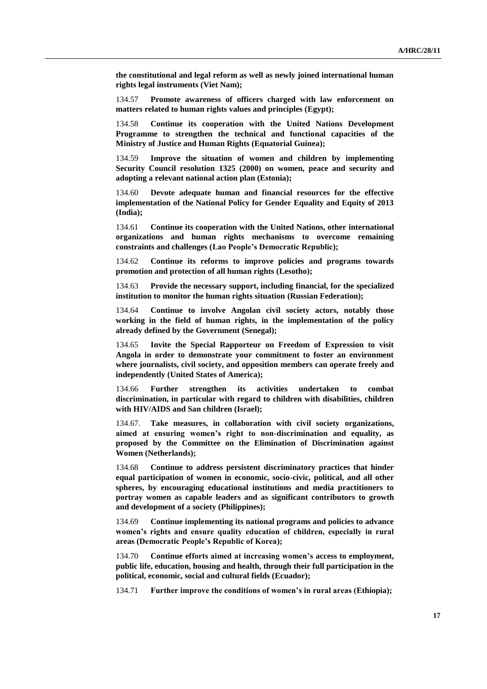**the constitutional and legal reform as well as newly joined international human rights legal instruments (Viet Nam);**

134.57 **Promote awareness of officers charged with law enforcement on matters related to human rights values and principles (Egypt);**

134.58 **Continue its cooperation with the United Nations Development Programme to strengthen the technical and functional capacities of the Ministry of Justice and Human Rights (Equatorial Guinea);**

134.59 **Improve the situation of women and children by implementing Security Council resolution 1325 (2000) on women, peace and security and adopting a relevant national action plan (Estonia);**

134.60 **Devote adequate human and financial resources for the effective implementation of the National Policy for Gender Equality and Equity of 2013 (India);**

134.61 **Continue its cooperation with the United Nations, other international organizations and human rights mechanisms to overcome remaining constraints and challenges (Lao People's Democratic Republic);** 

134.62 **Continue its reforms to improve policies and programs towards promotion and protection of all human rights (Lesotho);**

134.63 **Provide the necessary support, including financial, for the specialized institution to monitor the human rights situation (Russian Federation);**

134.64 **Continue to involve Angolan civil society actors, notably those working in the field of human rights, in the implementation of the policy already defined by the Government (Senegal);**

134.65 **Invite the Special Rapporteur on Freedom of Expression to visit Angola in order to demonstrate your commitment to foster an environment where journalists, civil society, and opposition members can operate freely and independently (United States of America);**

134.66 **Further strengthen its activities undertaken to combat discrimination, in particular with regard to children with disabilities, children with HIV/AIDS and San children (Israel);**

134.67. **Take measures, in collaboration with civil society organizations, aimed at ensuring women's right to non-discrimination and equality, as proposed by the Committee on the Elimination of Discrimination against Women (Netherlands);**

134.68 **Continue to address persistent discriminatory practices that hinder equal participation of women in economic, socio-civic, political, and all other spheres, by encouraging educational institutions and media practitioners to portray women as capable leaders and as significant contributors to growth and development of a society (Philippines);**

134.69 **Continue implementing its national programs and policies to advance women's rights and ensure quality education of children, especially in rural areas (Democratic People's Republic of Korea);**

134.70 **Continue efforts aimed at increasing women's access to employment, public life, education, housing and health, through their full participation in the political, economic, social and cultural fields (Ecuador);**

134.71 **Further improve the conditions of women's in rural areas (Ethiopia);**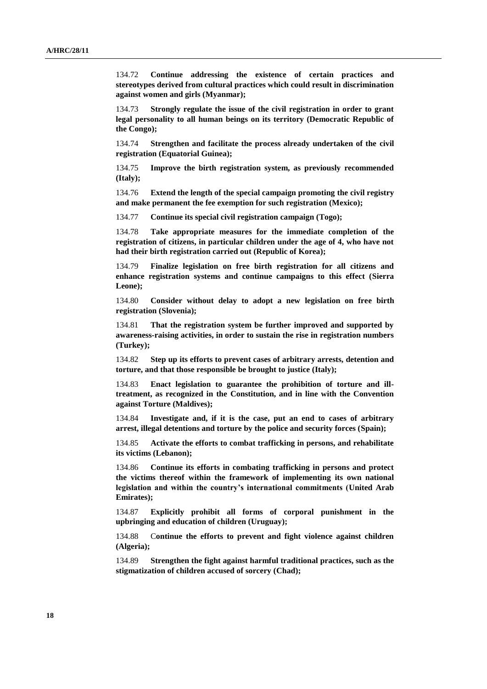134.72 **Continue addressing the existence of certain practices and stereotypes derived from cultural practices which could result in discrimination against women and girls (Myanmar);**

134.73 **Strongly regulate the issue of the civil registration in order to grant legal personality to all human beings on its territory (Democratic Republic of the Congo);**

134.74 **Strengthen and facilitate the process already undertaken of the civil registration (Equatorial Guinea);**

134.75 **Improve the birth registration system, as previously recommended (Italy);**

134.76 **Extend the length of the special campaign promoting the civil registry and make permanent the fee exemption for such registration (Mexico);**

134.77 **Continue its special civil registration campaign (Togo);**

134.78 **Take appropriate measures for the immediate completion of the registration of citizens, in particular children under the age of 4, who have not had their birth registration carried out (Republic of Korea);**

134.79 **Finalize legislation on free birth registration for all citizens and enhance registration systems and continue campaigns to this effect (Sierra Leone);**

134.80 **Consider without delay to adopt a new legislation on free birth registration (Slovenia);**

134.81 **That the registration system be further improved and supported by awareness-raising activities, in order to sustain the rise in registration numbers (Turkey);**

134.82 **Step up its efforts to prevent cases of arbitrary arrests, detention and torture, and that those responsible be brought to justice (Italy);**

134.83 **Enact legislation to guarantee the prohibition of torture and illtreatment, as recognized in the Constitution, and in line with the Convention against Torture (Maldives);**

134.84 **Investigate and, if it is the case, put an end to cases of arbitrary arrest, illegal detentions and torture by the police and security forces (Spain);**

134.85 **Activate the efforts to combat trafficking in persons, and rehabilitate its victims (Lebanon);**

134.86 **Continue its efforts in combating trafficking in persons and protect the victims thereof within the framework of implementing its own national legislation and within the country's international commitments (United Arab Emirates);**

134.87 **Explicitly prohibit all forms of corporal punishment in the upbringing and education of children (Uruguay);**

134.88 C**ontinue the efforts to prevent and fight violence against children (Algeria);**

134.89 **Strengthen the fight against harmful traditional practices, such as the stigmatization of children accused of sorcery (Chad);**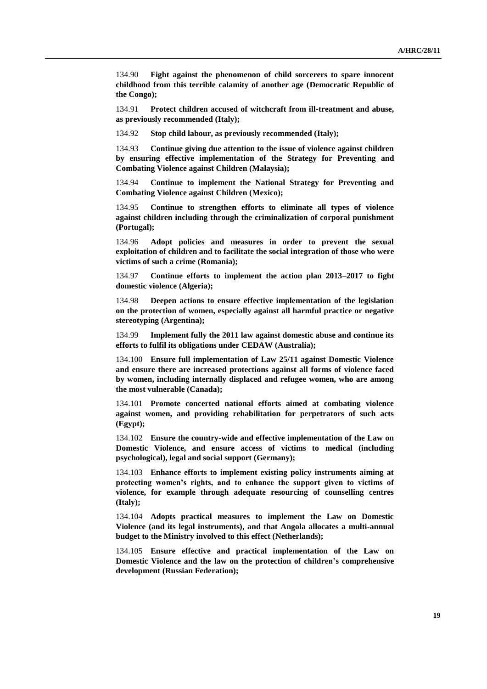134.90 **Fight against the phenomenon of child sorcerers to spare innocent childhood from this terrible calamity of another age (Democratic Republic of the Congo);**

134.91 **Protect children accused of witchcraft from ill-treatment and abuse, as previously recommended (Italy);**

134.92 **Stop child labour, as previously recommended (Italy);**

134.93 **Continue giving due attention to the issue of violence against children by ensuring effective implementation of the Strategy for Preventing and Combating Violence against Children (Malaysia);**

134.94 **Continue to implement the National Strategy for Preventing and Combating Violence against Children (Mexico);**

134.95 **Continue to strengthen efforts to eliminate all types of violence against children including through the criminalization of corporal punishment (Portugal);**

134.96 **Adopt policies and measures in order to prevent the sexual exploitation of children and to facilitate the social integration of those who were victims of such a crime (Romania);**

134.97 **Continue efforts to implement the action plan 2013–2017 to fight domestic violence (Algeria);**

134.98 **Deepen actions to ensure effective implementation of the legislation on the protection of women, especially against all harmful practice or negative stereotyping (Argentina);**

134.99 **Implement fully the 2011 law against domestic abuse and continue its efforts to fulfil its obligations under CEDAW (Australia);**

134.100 **Ensure full implementation of Law 25/11 against Domestic Violence and ensure there are increased protections against all forms of violence faced by women, including internally displaced and refugee women, who are among the most vulnerable (Canada);**

134.101 **Promote concerted national efforts aimed at combating violence against women, and providing rehabilitation for perpetrators of such acts (Egypt);**

134.102 **Ensure the country-wide and effective implementation of the Law on Domestic Violence, and ensure access of victims to medical (including psychological), legal and social support (Germany);**

134.103 **Enhance efforts to implement existing policy instruments aiming at protecting women's rights, and to enhance the support given to victims of violence, for example through adequate resourcing of counselling centres (Italy);**

134.104 **Adopts practical measures to implement the Law on Domestic Violence (and its legal instruments), and that Angola allocates a multi-annual budget to the Ministry involved to this effect (Netherlands);**

134.105 **Ensure effective and practical implementation of the Law on Domestic Violence and the law on the protection of children's comprehensive development (Russian Federation);**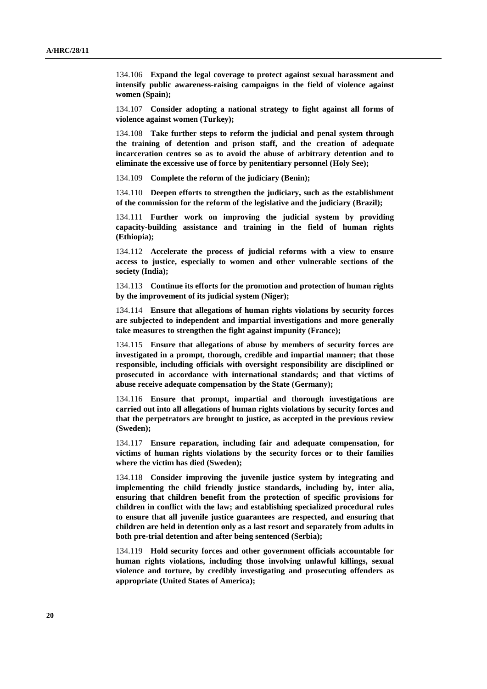134.106 **Expand the legal coverage to protect against sexual harassment and intensify public awareness-raising campaigns in the field of violence against women (Spain);**

134.107 **Consider adopting a national strategy to fight against all forms of violence against women (Turkey);**

134.108 **Take further steps to reform the judicial and penal system through the training of detention and prison staff, and the creation of adequate incarceration centres so as to avoid the abuse of arbitrary detention and to eliminate the excessive use of force by penitentiary personnel (Holy See);**

134.109 **Complete the reform of the judiciary (Benin);**

134.110 **Deepen efforts to strengthen the judiciary, such as the establishment of the commission for the reform of the legislative and the judiciary (Brazil);**

134.111 **Further work on improving the judicial system by providing capacity-building assistance and training in the field of human rights (Ethiopia);**

134.112 **Accelerate the process of judicial reforms with a view to ensure access to justice, especially to women and other vulnerable sections of the society (India);**

134.113 **Continue its efforts for the promotion and protection of human rights by the improvement of its judicial system (Niger);**

134.114 **Ensure that allegations of human rights violations by security forces are subjected to independent and impartial investigations and more generally take measures to strengthen the fight against impunity (France);**

134.115 **Ensure that allegations of abuse by members of security forces are investigated in a prompt, thorough, credible and impartial manner; that those responsible, including officials with oversight responsibility are disciplined or prosecuted in accordance with international standards; and that victims of abuse receive adequate compensation by the State (Germany);**

134.116 **Ensure that prompt, impartial and thorough investigations are carried out into all allegations of human rights violations by security forces and that the perpetrators are brought to justice, as accepted in the previous review (Sweden);**

134.117 **Ensure reparation, including fair and adequate compensation, for victims of human rights violations by the security forces or to their families where the victim has died (Sweden);**

134.118 **Consider improving the juvenile justice system by integrating and implementing the child friendly justice standards, including by, inter alia, ensuring that children benefit from the protection of specific provisions for children in conflict with the law; and establishing specialized procedural rules to ensure that all juvenile justice guarantees are respected, and ensuring that children are held in detention only as a last resort and separately from adults in both pre-trial detention and after being sentenced (Serbia);**

134.119 **Hold security forces and other government officials accountable for human rights violations, including those involving unlawful killings, sexual violence and torture, by credibly investigating and prosecuting offenders as appropriate (United States of America);**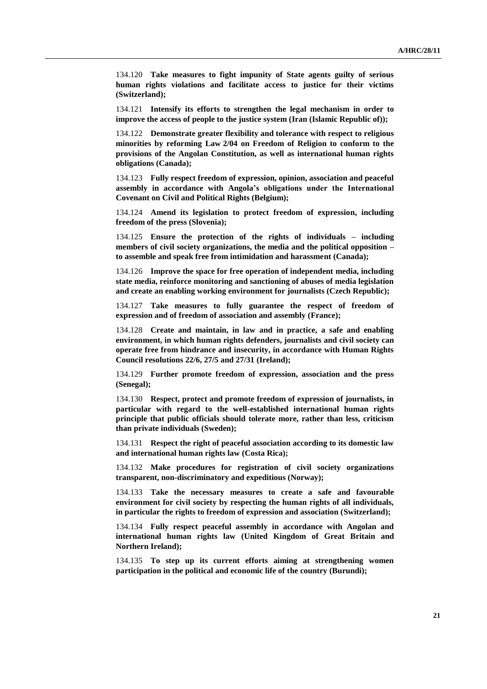134.120 **Take measures to fight impunity of State agents guilty of serious human rights violations and facilitate access to justice for their victims (Switzerland);**

134.121 **Intensify its efforts to strengthen the legal mechanism in order to improve the access of people to the justice system (Iran (Islamic Republic of));**

134.122 **Demonstrate greater flexibility and tolerance with respect to religious minorities by reforming Law 2/04 on Freedom of Religion to conform to the provisions of the Angolan Constitution, as well as international human rights obligations (Canada);**

134.123 **Fully respect freedom of expression, opinion, association and peaceful assembly in accordance with Angola's obligations under the International Covenant on Civil and Political Rights (Belgium);**

134.124 **Amend its legislation to protect freedom of expression, including freedom of the press (Slovenia);**

134.125 **Ensure the protection of the rights of individuals – including members of civil society organizations, the media and the political opposition – to assemble and speak free from intimidation and harassment (Canada);**

134.126 **Improve the space for free operation of independent media, including state media, reinforce monitoring and sanctioning of abuses of media legislation and create an enabling working environment for journalists (Czech Republic);**

134.127 **Take measures to fully guarantee the respect of freedom of expression and of freedom of association and assembly (France);**

134.128 **Create and maintain, in law and in practice, a safe and enabling environment, in which human rights defenders, journalists and civil society can operate free from hindrance and insecurity, in accordance with Human Rights Council resolutions 22/6, 27/5 and 27/31 (Ireland);**

134.129 **Further promote freedom of expression, association and the press (Senegal);**

134.130 **Respect, protect and promote freedom of expression of journalists, in particular with regard to the well-established international human rights principle that public officials should tolerate more, rather than less, criticism than private individuals (Sweden);**

134.131 **Respect the right of peaceful association according to its domestic law and international human rights law (Costa Rica);**

134.132 **Make procedures for registration of civil society organizations transparent, non-discriminatory and expeditious (Norway);**

134.133 **Take the necessary measures to create a safe and favourable environment for civil society by respecting the human rights of all individuals, in particular the rights to freedom of expression and association (Switzerland);**

134.134 **Fully respect peaceful assembly in accordance with Angolan and international human rights law (United Kingdom of Great Britain and Northern Ireland);**

134.135 **To step up its current efforts aiming at strengthening women participation in the political and economic life of the country (Burundi);**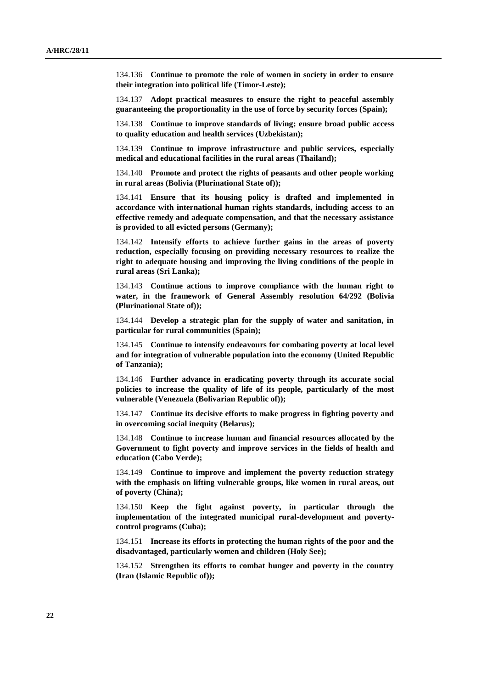134.136 **Continue to promote the role of women in society in order to ensure their integration into political life (Timor-Leste);**

134.137 **Adopt practical measures to ensure the right to peaceful assembly guaranteeing the proportionality in the use of force by security forces (Spain);**

134.138 **Continue to improve standards of living; ensure broad public access to quality education and health services (Uzbekistan);**

134.139 **Continue to improve infrastructure and public services, especially medical and educational facilities in the rural areas (Thailand);**

134.140 **Promote and protect the rights of peasants and other people working in rural areas (Bolivia (Plurinational State of));**

134.141 **Ensure that its housing policy is drafted and implemented in accordance with international human rights standards, including access to an effective remedy and adequate compensation, and that the necessary assistance is provided to all evicted persons (Germany);**

134.142 **Intensify efforts to achieve further gains in the areas of poverty reduction, especially focusing on providing necessary resources to realize the right to adequate housing and improving the living conditions of the people in rural areas (Sri Lanka);**

134.143 **Continue actions to improve compliance with the human right to water, in the framework of General Assembly resolution 64/292 (Bolivia (Plurinational State of));**

134.144 **Develop a strategic plan for the supply of water and sanitation, in particular for rural communities (Spain);**

134.145 **Continue to intensify endeavours for combating poverty at local level and for integration of vulnerable population into the economy (United Republic of Tanzania);**

134.146 **Further advance in eradicating poverty through its accurate social policies to increase the quality of life of its people, particularly of the most vulnerable (Venezuela (Bolivarian Republic of));**

134.147 **Continue its decisive efforts to make progress in fighting poverty and in overcoming social inequity (Belarus);**

134.148 **Continue to increase human and financial resources allocated by the Government to fight poverty and improve services in the fields of health and education (Cabo Verde);**

134.149 **Continue to improve and implement the poverty reduction strategy with the emphasis on lifting vulnerable groups, like women in rural areas, out of poverty (China);**

134.150 **Keep the fight against poverty, in particular through the implementation of the integrated municipal rural-development and povertycontrol programs (Cuba);**

134.151 **Increase its efforts in protecting the human rights of the poor and the disadvantaged, particularly women and children (Holy See);**

134.152 **Strengthen its efforts to combat hunger and poverty in the country (Iran (Islamic Republic of));**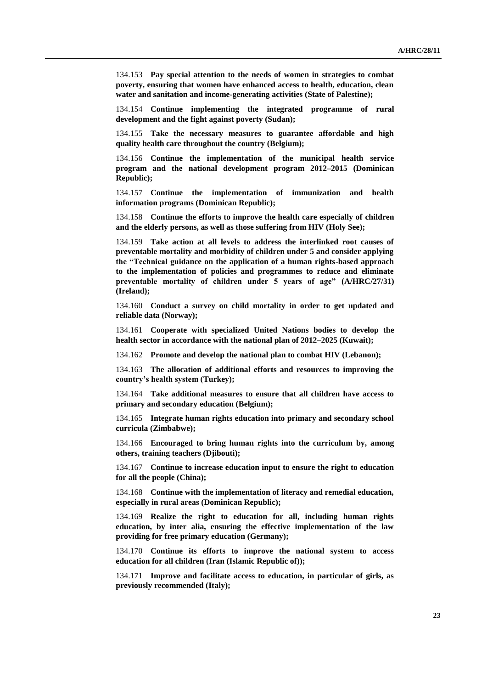134.153 **Pay special attention to the needs of women in strategies to combat poverty, ensuring that women have enhanced access to health, education, clean water and sanitation and income-generating activities (State of Palestine);**

134.154 **Continue implementing the integrated programme of rural development and the fight against poverty (Sudan);**

134.155 **Take the necessary measures to guarantee affordable and high quality health care throughout the country (Belgium);**

134.156 **Continue the implementation of the municipal health service program and the national development program 2012–2015 (Dominican Republic);** 

134.157 **Continue the implementation of immunization and health information programs (Dominican Republic);**

134.158 **Continue the efforts to improve the health care especially of children and the elderly persons, as well as those suffering from HIV (Holy See);**

134.159 **Take action at all levels to address the interlinked root causes of preventable mortality and morbidity of children under 5 and consider applying the "Technical guidance on the application of a human rights-based approach to the implementation of policies and programmes to reduce and eliminate preventable mortality of children under 5 years of age" (A/HRC/27/31) (Ireland);** 

134.160 **Conduct a survey on child mortality in order to get updated and reliable data (Norway);**

134.161 **Cooperate with specialized United Nations bodies to develop the health sector in accordance with the national plan of 2012–2025 (Kuwait);**

134.162 **Promote and develop the national plan to combat HIV (Lebanon);** 

134.163 **The allocation of additional efforts and resources to improving the country's health system (Turkey);**

134.164 **Take additional measures to ensure that all children have access to primary and secondary education (Belgium);**

134.165 **Integrate human rights education into primary and secondary school curricula (Zimbabwe);**

134.166 **Encouraged to bring human rights into the curriculum by, among others, training teachers (Djibouti);**

134.167 **Continue to increase education input to ensure the right to education for all the people (China);**

134.168 **Continue with the implementation of literacy and remedial education, especially in rural areas (Dominican Republic);**

134.169 **Realize the right to education for all, including human rights education, by inter alia, ensuring the effective implementation of the law providing for free primary education (Germany);**

134.170 **Continue its efforts to improve the national system to access education for all children (Iran (Islamic Republic of));**

134.171 **Improve and facilitate access to education, in particular of girls, as previously recommended (Italy);**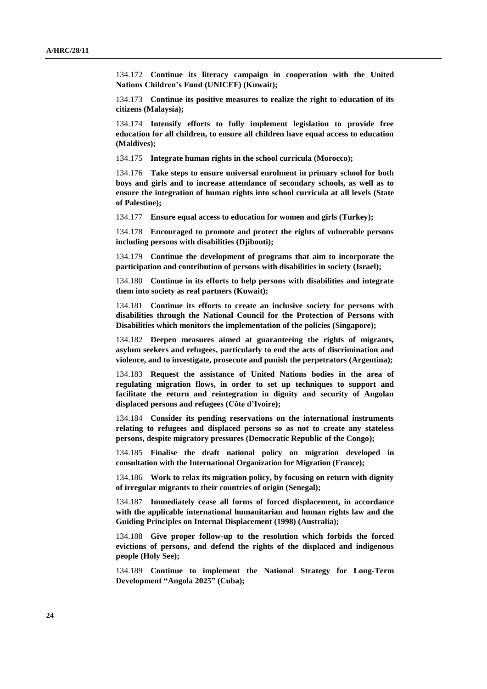134.172 **Continue its literacy campaign in cooperation with the United Nations Children's Fund (UNICEF) (Kuwait);**

134.173 **Continue its positive measures to realize the right to education of its citizens (Malaysia);**

134.174 **Intensify efforts to fully implement legislation to provide free education for all children, to ensure all children have equal access to education (Maldives);**

134.175 **Integrate human rights in the school curricula (Morocco);**

134.176 **Take steps to ensure universal enrolment in primary school for both boys and girls and to increase attendance of secondary schools, as well as to ensure the integration of human rights into school curricula at all levels (State of Palestine);**

134.177 **Ensure equal access to education for women and girls (Turkey);**

134.178 **Encouraged to promote and protect the rights of vulnerable persons including persons with disabilities (Djibouti);**

134.179 **Continue the development of programs that aim to incorporate the participation and contribution of persons with disabilities in society (Israel);** 

134.180 **Continue in its efforts to help persons with disabilities and integrate them into society as real partners (Kuwait);**

134.181 **Continue its efforts to create an inclusive society for persons with disabilities through the National Council for the Protection of Persons with Disabilities which monitors the implementation of the policies (Singapore);**

134.182 **Deepen measures aimed at guaranteeing the rights of migrants, asylum seekers and refugees, particularly to end the acts of discrimination and violence, and to investigate, prosecute and punish the perpetrators (Argentina);**

134.183 **Request the assistance of United Nations bodies in the area of regulating migration flows, in order to set up techniques to support and facilitate the return and reintegration in dignity and security of Angolan displaced persons and refugees (Côte d'Ivoire);**

134.184 **Consider its pending reservations on the international instruments relating to refugees and displaced persons so as not to create any stateless persons, despite migratory pressures (Democratic Republic of the Congo);**

134.185 **Finalise the draft national policy on migration developed in consultation with the International Organization for Migration (France);**

134.186 **Work to relax its migration policy, by focusing on return with dignity of irregular migrants to their countries of origin (Senegal);**

134.187 **Immediately cease all forms of forced displacement, in accordance with the applicable international humanitarian and human rights law and the Guiding Principles on Internal Displacement (1998) (Australia);**

134.188 **Give proper follow-up to the resolution which forbids the forced evictions of persons, and defend the rights of the displaced and indigenous people (Holy See);**

134.189 **Continue to implement the National Strategy for Long-Term Development "Angola 2025" (Cuba);**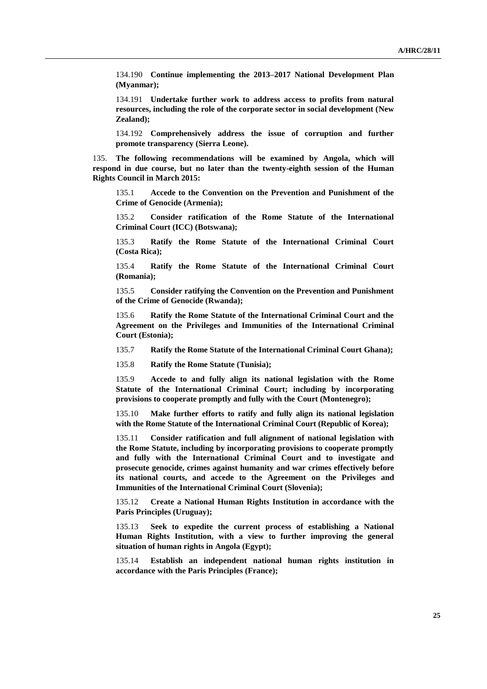134.190 **Continue implementing the 2013–2017 National Development Plan (Myanmar);**

134.191 **Undertake further work to address access to profits from natural resources, including the role of the corporate sector in social development (New Zealand);**

134.192 **Comprehensively address the issue of corruption and further promote transparency (Sierra Leone).**

135. **The following recommendations will be examined by Angola, which will respond in due course, but no later than the twenty-eighth session of the Human Rights Council in March 2015:**

135.1 **Accede to the Convention on the Prevention and Punishment of the Crime of Genocide (Armenia);**

135.2 **Consider ratification of the Rome Statute of the International Criminal Court (ICC) (Botswana);** 

135.3 **Ratify the Rome Statute of the International Criminal Court (Costa Rica);**

135.4 **Ratify the Rome Statute of the International Criminal Court (Romania);**

135.5 **Consider ratifying the Convention on the Prevention and Punishment of the Crime of Genocide (Rwanda);**

135.6 **Ratify the Rome Statute of the International Criminal Court and the Agreement on the Privileges and Immunities of the International Criminal Court (Estonia);**

135.7 **Ratify the Rome Statute of the International Criminal Court Ghana);**

135.8 **Ratify the Rome Statute (Tunisia);**

135.9 **Accede to and fully align its national legislation with the Rome Statute of the International Criminal Court; including by incorporating provisions to cooperate promptly and fully with the Court (Montenegro);**

135.10 **Make further efforts to ratify and fully align its national legislation with the Rome Statute of the International Criminal Court (Republic of Korea);**

135.11 **Consider ratification and full alignment of national legislation with the Rome Statute, including by incorporating provisions to cooperate promptly and fully with the International Criminal Court and to investigate and prosecute genocide, crimes against humanity and war crimes effectively before its national courts, and accede to the Agreement on the Privileges and Immunities of the International Criminal Court (Slovenia);**

135.12 **Create a National Human Rights Institution in accordance with the Paris Principles (Uruguay);**

135.13 **Seek to expedite the current process of establishing a National Human Rights Institution, with a view to further improving the general situation of human rights in Angola (Egypt);**

135.14 **Establish an independent national human rights institution in accordance with the Paris Principles (France);**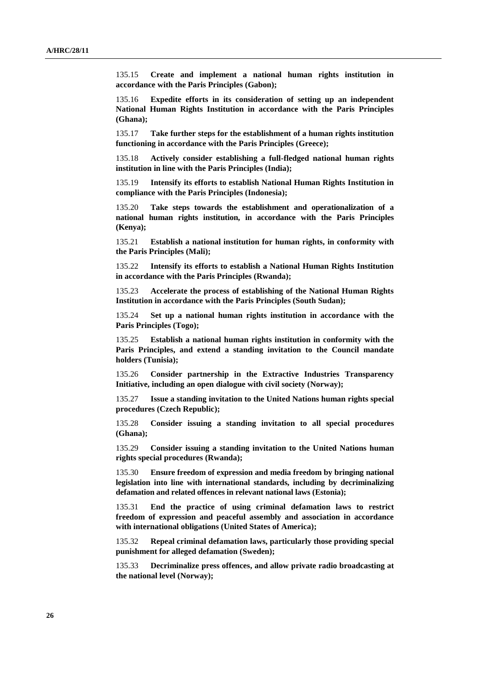135.15 **Create and implement a national human rights institution in accordance with the Paris Principles (Gabon);**

135.16 **Expedite efforts in its consideration of setting up an independent National Human Rights Institution in accordance with the Paris Principles (Ghana);**

135.17 **Take further steps for the establishment of a human rights institution functioning in accordance with the Paris Principles (Greece);**

135.18 **Actively consider establishing a full-fledged national human rights institution in line with the Paris Principles (India);**

135.19 **Intensify its efforts to establish National Human Rights Institution in compliance with the Paris Principles (Indonesia);**

135.20 **Take steps towards the establishment and operationalization of a national human rights institution, in accordance with the Paris Principles (Kenya);**

135.21 **Establish a national institution for human rights, in conformity with the Paris Principles (Mali);**

135.22 **Intensify its efforts to establish a National Human Rights Institution in accordance with the Paris Principles (Rwanda);**

135.23 **Accelerate the process of establishing of the National Human Rights Institution in accordance with the Paris Principles (South Sudan);**

135.24 **Set up a national human rights institution in accordance with the Paris Principles (Togo);**

135.25 **Establish a national human rights institution in conformity with the Paris Principles, and extend a standing invitation to the Council mandate holders (Tunisia);**

135.26 **Consider partnership in the Extractive Industries Transparency Initiative, including an open dialogue with civil society (Norway);** 

135.27 **Issue a standing invitation to the United Nations human rights special procedures (Czech Republic);**

135.28 **Consider issuing a standing invitation to all special procedures (Ghana);**

135.29 **Consider issuing a standing invitation to the United Nations human rights special procedures (Rwanda);**

135.30 **Ensure freedom of expression and media freedom by bringing national legislation into line with international standards, including by decriminalizing defamation and related offences in relevant national laws (Estonia);**

135.31 **End the practice of using criminal defamation laws to restrict freedom of expression and peaceful assembly and association in accordance with international obligations (United States of America);**

135.32 **Repeal criminal defamation laws, particularly those providing special punishment for alleged defamation (Sweden);**

135.33 **Decriminalize press offences, and allow private radio broadcasting at the national level (Norway);**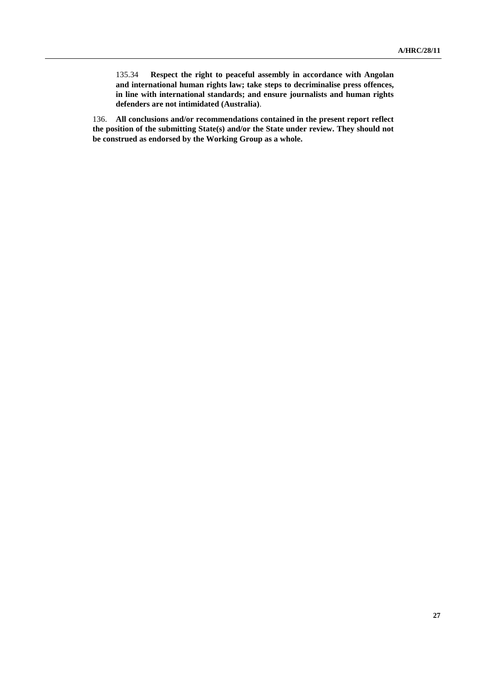135.34 **Respect the right to peaceful assembly in accordance with Angolan and international human rights law; take steps to decriminalise press offences, in line with international standards; and ensure journalists and human rights defenders are not intimidated (Australia)**.

136. **All conclusions and/or recommendations contained in the present report reflect the position of the submitting State(s) and/or the State under review. They should not be construed as endorsed by the Working Group as a whole.**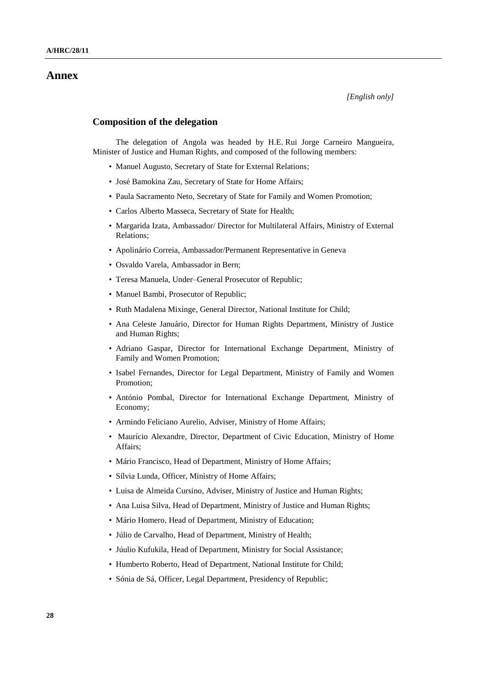### **Annex**

### **Composition of the delegation**

The delegation of Angola was headed by H.E. Rui Jorge Carneiro Mangueira, Minister of Justice and Human Rights, and composed of the following members:

- Manuel Augusto, Secretary of State for External Relations;
- José Bamokina Zau, Secretary of State for Home Affairs;
- Paula Sacramento Neto, Secretary of State for Family and Women Promotion;
- Carlos Alberto Masseca, Secretary of State for Health;
- Margarida Izata, Ambassador/ Director for Multilateral Affairs, Ministry of External Relations;
- Apolinário Correia, Ambassador/Permanent Representative in Geneva
- Osvaldo Varela, Ambassador in Bern;
- Teresa Manuela, Under–General Prosecutor of Republic;
- Manuel Bambi, Prosecutor of Republic;
- Ruth Madalena Mixinge, General Director, National Institute for Child;
- Ana Celeste Januário, Director for Human Rights Department, Ministry of Justice and Human Rights;
- Adriano Gaspar, Director for International Exchange Department, Ministry of Family and Women Promotion;
- Isabel Fernandes, Director for Legal Department, Ministry of Family and Women Promotion;
- António Pombal, Director for International Exchange Department, Ministry of Economy;
- Armindo Feliciano Aurelio, Adviser, Ministry of Home Affairs;
- Maurício Alexandre, Director, Department of Civic Education, Ministry of Home Affairs;
- Mário Francisco, Head of Department, Ministry of Home Affairs;
- Sílvia Lunda, Officer, Ministry of Home Affairs;
- Luisa de Almeida Cursino, Adviser, Ministry of Justice and Human Rights;
- Ana Luisa Silva, Head of Department, Ministry of Justice and Human Rights;
- Mário Homero, Head of Department, Ministry of Education;
- Júlio de Carvalho, Head of Department, Ministry of Health;
- Júulio Kufukila, Head of Department, Ministry for Social Assistance;
- Humberto Roberto, Head of Department, National Institute for Child;
- Sónia de Sá, Officer, Legal Department, Presidency of Republic;